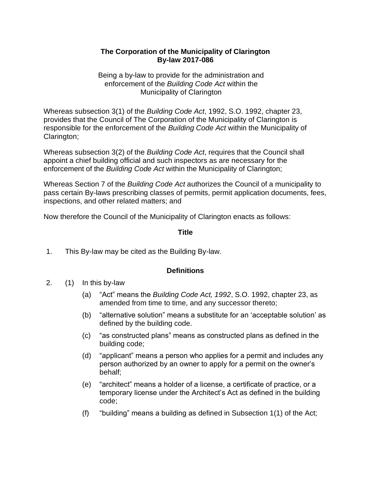#### **The Corporation of the Municipality of Clarington By-law 2017-086**

Being a by-law to provide for the administration and enforcement of the *Building Code Act* within the Municipality of Clarington

Whereas subsection 3(1) of the *Building Code Act*, 1992, S.O. 1992, chapter 23, provides that the Council of The Corporation of the Municipality of Clarington is responsible for the enforcement of the *Building Code Act* within the Municipality of Clarington;

Whereas subsection 3(2) of the *Building Code Act*, requires that the Council shall appoint a chief building official and such inspectors as are necessary for the enforcement of the *Building Code Act* within the Municipality of Clarington;

Whereas Section 7 of the *Building Code Act* authorizes the Council of a municipality to pass certain By-laws prescribing classes of permits, permit application documents, fees, inspections, and other related matters; and

Now therefore the Council of the Municipality of Clarington enacts as follows:

#### **Title**

1. This By-law may be cited as the Building By-law.

## **Definitions**

- 2. (1) In this by-law
	- (a) "Act" means the *Building Code Act, 1992*, S.O. 1992, chapter 23, as amended from time to time, and any successor thereto;
	- (b) "alternative solution" means a substitute for an 'acceptable solution' as defined by the building code.
	- (c) "as constructed plans" means as constructed plans as defined in the building code;
	- (d) "applicant" means a person who applies for a permit and includes any person authorized by an owner to apply for a permit on the owner's behalf;
	- (e) "architect" means a holder of a license, a certificate of practice, or a temporary license under the Architect's Act as defined in the building code;
	- (f) "building" means a building as defined in Subsection 1(1) of the Act;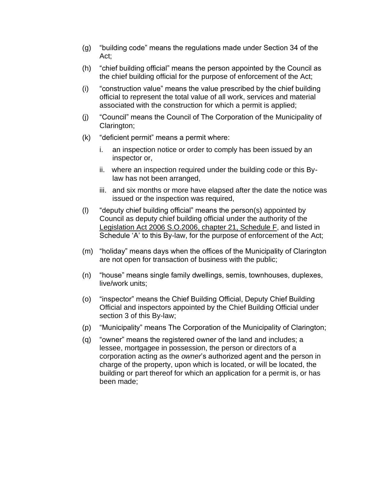- (g) "building code" means the regulations made under Section 34 of the Act;
- (h) "chief building official" means the person appointed by the Council as the chief building official for the purpose of enforcement of the Act;
- (i) "construction value" means the value prescribed by the chief building official to represent the total value of all work, services and material associated with the construction for which a permit is applied;
- (j) "Council" means the Council of The Corporation of the Municipality of Clarington;
- (k) "deficient permit" means a permit where:
	- i. an inspection notice or order to comply has been issued by an inspector or,
	- ii. where an inspection required under the building code or this Bylaw has not been arranged,
	- iii. and six months or more have elapsed after the date the notice was issued or the inspection was required,
- (l) "deputy chief building official" means the person(s) appointed by Council as deputy chief building official under the authority of the Legislation Act 2006 S.O.2006, chapter 21, Schedule F, and listed in Schedule 'A' to this By-law, for the purpose of enforcement of the Act;
- (m) "holiday" means days when the offices of the Municipality of Clarington are not open for transaction of business with the public;
- (n) "house" means single family dwellings, semis, townhouses, duplexes, live/work units;
- (o) "inspector" means the Chief Building Official, Deputy Chief Building Official and inspectors appointed by the Chief Building Official under section 3 of this By-law;
- (p) "Municipality" means The Corporation of the Municipality of Clarington;
- (q) "owner" means the registered owner of the land and includes; a lessee, mortgagee in possession, the person or directors of a corporation acting as the *owner*'s authorized agent and the person in charge of the property, upon which is located, or will be located, the building or part thereof for which an application for a permit is, or has been made;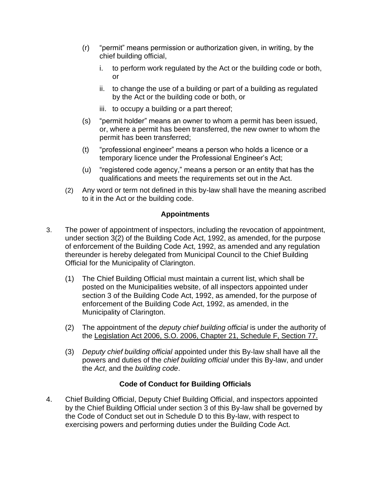- (r) "permit" means permission or authorization given, in writing, by the chief building official,
	- i. to perform work regulated by the Act or the building code or both, or
	- ii. to change the use of a building or part of a building as regulated by the Act or the building code or both, or
	- iii. to occupy a building or a part thereof;
- (s) "permit holder" means an owner to whom a permit has been issued, or, where a permit has been transferred, the new owner to whom the permit has been transferred;
- (t) "professional engineer" means a person who holds a licence or a temporary licence under the Professional Engineer's Act;
- (u) "registered code agency," means a person or an entity that has the qualifications and meets the requirements set out in the Act.
- (2) Any word or term not defined in this by-law shall have the meaning ascribed to it in the Act or the building code.

## **Appointments**

- 3. The power of appointment of inspectors, including the revocation of appointment, under section 3(2) of the Building Code Act, 1992, as amended, for the purpose of enforcement of the Building Code Act, 1992, as amended and any regulation thereunder is hereby delegated from Municipal Council to the Chief Building Official for the Municipality of Clarington.
	- (1) The Chief Building Official must maintain a current list, which shall be posted on the Municipalities website, of all inspectors appointed under section 3 of the Building Code Act, 1992, as amended, for the purpose of enforcement of the Building Code Act, 1992, as amended, in the Municipality of Clarington.
	- (2) The appointment of the *deputy chief building official* is under the authority of the Legislation Act 2006, S.O. 2006, Chapter 21, Schedule F, Section 77.
	- (3) *Deputy chief building official* appointed under this By-law shall have all the powers and duties of the *chief building official* under this By-law, and under the *Act*, and the *building code*.

## **Code of Conduct for Building Officials**

4. Chief Building Official, Deputy Chief Building Official, and inspectors appointed by the Chief Building Official under section 3 of this By-law shall be governed by the Code of Conduct set out in Schedule D to this By-law, with respect to exercising powers and performing duties under the Building Code Act.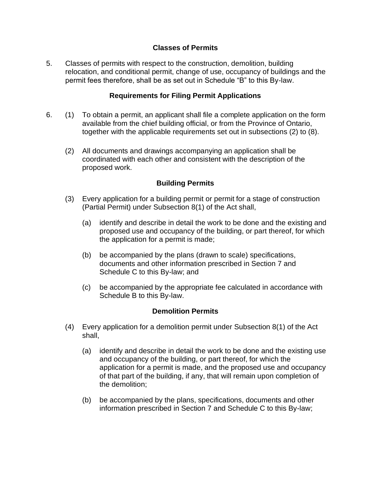## **Classes of Permits**

5. Classes of permits with respect to the construction, demolition, building relocation, and conditional permit, change of use, occupancy of buildings and the permit fees therefore, shall be as set out in Schedule "B" to this By-law.

## **Requirements for Filing Permit Applications**

- 6. (1) To obtain a permit, an applicant shall file a complete application on the form available from the chief building official, or from the Province of Ontario, together with the applicable requirements set out in subsections (2) to (8).
	- (2) All documents and drawings accompanying an application shall be coordinated with each other and consistent with the description of the proposed work.

#### **Building Permits**

- (3) Every application for a building permit or permit for a stage of construction (Partial Permit) under Subsection 8(1) of the Act shall,
	- (a) identify and describe in detail the work to be done and the existing and proposed use and occupancy of the building, or part thereof, for which the application for a permit is made;
	- (b) be accompanied by the plans (drawn to scale) specifications, documents and other information prescribed in Section 7 and Schedule C to this By-law; and
	- (c) be accompanied by the appropriate fee calculated in accordance with Schedule B to this By-law.

#### **Demolition Permits**

- (4) Every application for a demolition permit under Subsection 8(1) of the Act shall,
	- (a) identify and describe in detail the work to be done and the existing use and occupancy of the building, or part thereof, for which the application for a permit is made, and the proposed use and occupancy of that part of the building, if any, that will remain upon completion of the demolition;
	- (b) be accompanied by the plans, specifications, documents and other information prescribed in Section 7 and Schedule C to this By-law;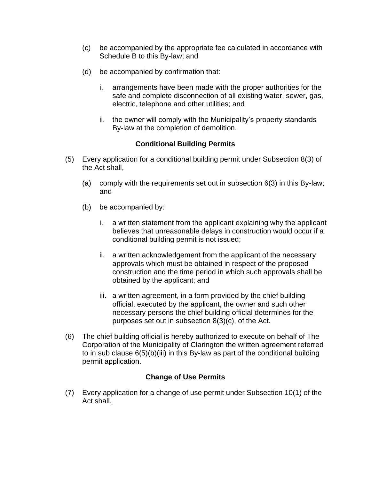- (c) be accompanied by the appropriate fee calculated in accordance with Schedule B to this By-law; and
- (d) be accompanied by confirmation that:
	- i. arrangements have been made with the proper authorities for the safe and complete disconnection of all existing water, sewer, gas, electric, telephone and other utilities; and
	- ii. the owner will comply with the Municipality's property standards By-law at the completion of demolition.

## **Conditional Building Permits**

- (5) Every application for a conditional building permit under Subsection 8(3) of the Act shall,
	- (a) comply with the requirements set out in subsection 6(3) in this By-law; and
	- (b) be accompanied by:
		- i. a written statement from the applicant explaining why the applicant believes that unreasonable delays in construction would occur if a conditional building permit is not issued;
		- ii. a written acknowledgement from the applicant of the necessary approvals which must be obtained in respect of the proposed construction and the time period in which such approvals shall be obtained by the applicant; and
		- iii. a written agreement, in a form provided by the chief building official, executed by the applicant, the owner and such other necessary persons the chief building official determines for the purposes set out in subsection 8(3)(c), of the Act.
- (6) The chief building official is hereby authorized to execute on behalf of The Corporation of the Municipality of Clarington the written agreement referred to in sub clause 6(5)(b)(iii) in this By-law as part of the conditional building permit application.

## **Change of Use Permits**

(7) Every application for a change of use permit under Subsection 10(1) of the Act shall,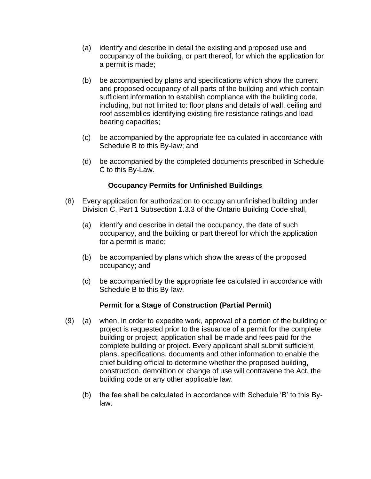- (a) identify and describe in detail the existing and proposed use and occupancy of the building, or part thereof, for which the application for a permit is made;
- (b) be accompanied by plans and specifications which show the current and proposed occupancy of all parts of the building and which contain sufficient information to establish compliance with the building code, including, but not limited to: floor plans and details of wall, ceiling and roof assemblies identifying existing fire resistance ratings and load bearing capacities;
- (c) be accompanied by the appropriate fee calculated in accordance with Schedule B to this By-law; and
- (d) be accompanied by the completed documents prescribed in Schedule C to this By-Law.

#### **Occupancy Permits for Unfinished Buildings**

- (8) Every application for authorization to occupy an unfinished building under Division C, Part 1 Subsection 1.3.3 of the Ontario Building Code shall,
	- (a) identify and describe in detail the occupancy, the date of such occupancy, and the building or part thereof for which the application for a permit is made;
	- (b) be accompanied by plans which show the areas of the proposed occupancy; and
	- (c) be accompanied by the appropriate fee calculated in accordance with Schedule B to this By-law.

#### **Permit for a Stage of Construction (Partial Permit)**

- (9) (a) when, in order to expedite work, approval of a portion of the building or project is requested prior to the issuance of a permit for the complete building or project, application shall be made and fees paid for the complete building or project. Every applicant shall submit sufficient plans, specifications, documents and other information to enable the chief building official to determine whether the proposed building, construction, demolition or change of use will contravene the Act, the building code or any other applicable law.
	- (b) the fee shall be calculated in accordance with Schedule 'B' to this Bylaw.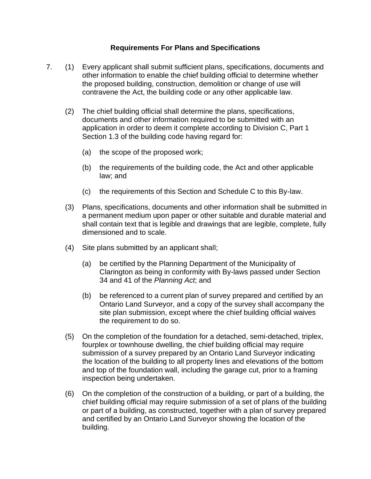#### **Requirements For Plans and Specifications**

- 7. (1) Every applicant shall submit sufficient plans, specifications, documents and other information to enable the chief building official to determine whether the proposed building, construction, demolition or change of use will contravene the Act, the building code or any other applicable law.
	- (2) The chief building official shall determine the plans, specifications, documents and other information required to be submitted with an application in order to deem it complete according to Division C, Part 1 Section 1.3 of the building code having regard for:
		- (a) the scope of the proposed work;
		- (b) the requirements of the building code, the Act and other applicable law; and
		- (c) the requirements of this Section and Schedule C to this By-law.
	- (3) Plans, specifications, documents and other information shall be submitted in a permanent medium upon paper or other suitable and durable material and shall contain text that is legible and drawings that are legible, complete, fully dimensioned and to scale.
	- (4) Site plans submitted by an applicant shall;
		- (a) be certified by the Planning Department of the Municipality of Clarington as being in conformity with By-laws passed under Section 34 and 41 of the *Planning Act*; and
		- (b) be referenced to a current plan of survey prepared and certified by an Ontario Land Surveyor, and a copy of the survey shall accompany the site plan submission, except where the chief building official waives the requirement to do so.
	- (5) On the completion of the foundation for a detached, semi-detached, triplex, fourplex or townhouse dwelling, the chief building official may require submission of a survey prepared by an Ontario Land Surveyor indicating the location of the building to all property lines and elevations of the bottom and top of the foundation wall, including the garage cut, prior to a framing inspection being undertaken.
	- (6) On the completion of the construction of a building, or part of a building, the chief building official may require submission of a set of plans of the building or part of a building, as constructed, together with a plan of survey prepared and certified by an Ontario Land Surveyor showing the location of the building.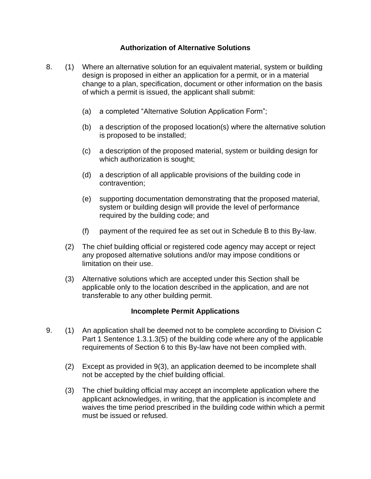## **Authorization of Alternative Solutions**

- 8. (1) Where an alternative solution for an equivalent material, system or building design is proposed in either an application for a permit, or in a material change to a plan, specification, document or other information on the basis of which a permit is issued, the applicant shall submit:
	- (a) a completed "Alternative Solution Application Form";
	- (b) a description of the proposed location(s) where the alternative solution is proposed to be installed;
	- (c) a description of the proposed material, system or building design for which authorization is sought;
	- (d) a description of all applicable provisions of the building code in contravention;
	- (e) supporting documentation demonstrating that the proposed material, system or building design will provide the level of performance required by the building code; and
	- (f) payment of the required fee as set out in Schedule B to this By-law.
	- (2) The chief building official or registered code agency may accept or reject any proposed alternative solutions and/or may impose conditions or limitation on their use.
	- (3) Alternative solutions which are accepted under this Section shall be applicable only to the location described in the application, and are not transferable to any other building permit.

#### **Incomplete Permit Applications**

- 9. (1) An application shall be deemed not to be complete according to Division C Part 1 Sentence 1.3.1.3(5) of the building code where any of the applicable requirements of Section 6 to this By-law have not been complied with.
	- (2) Except as provided in 9(3), an application deemed to be incomplete shall not be accepted by the chief building official.
	- (3) The chief building official may accept an incomplete application where the applicant acknowledges, in writing, that the application is incomplete and waives the time period prescribed in the building code within which a permit must be issued or refused.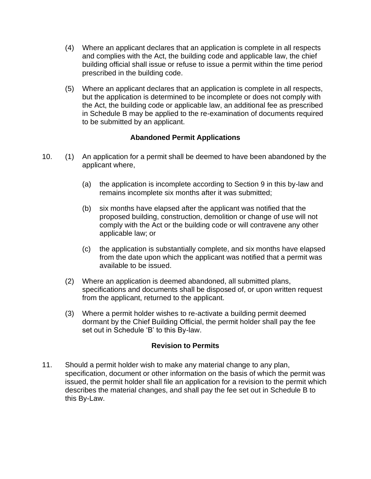- (4) Where an applicant declares that an application is complete in all respects and complies with the Act, the building code and applicable law, the chief building official shall issue or refuse to issue a permit within the time period prescribed in the building code.
- (5) Where an applicant declares that an application is complete in all respects, but the application is determined to be incomplete or does not comply with the Act, the building code or applicable law, an additional fee as prescribed in Schedule B may be applied to the re-examination of documents required to be submitted by an applicant.

## **Abandoned Permit Applications**

- 10. (1) An application for a permit shall be deemed to have been abandoned by the applicant where,
	- (a) the application is incomplete according to Section 9 in this by-law and remains incomplete six months after it was submitted;
	- (b) six months have elapsed after the applicant was notified that the proposed building, construction, demolition or change of use will not comply with the Act or the building code or will contravene any other applicable law; or
	- (c) the application is substantially complete, and six months have elapsed from the date upon which the applicant was notified that a permit was available to be issued.
	- (2) Where an application is deemed abandoned, all submitted plans, specifications and documents shall be disposed of, or upon written request from the applicant, returned to the applicant.
	- (3) Where a permit holder wishes to re-activate a building permit deemed dormant by the Chief Building Official, the permit holder shall pay the fee set out in Schedule 'B' to this By-law.

#### **Revision to Permits**

11. Should a permit holder wish to make any material change to any plan, specification, document or other information on the basis of which the permit was issued, the permit holder shall file an application for a revision to the permit which describes the material changes, and shall pay the fee set out in Schedule B to this By-Law.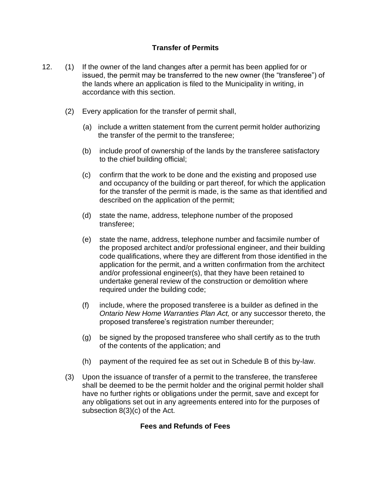## **Transfer of Permits**

- 12. (1) If the owner of the land changes after a permit has been applied for or issued, the permit may be transferred to the new owner (the "transferee") of the lands where an application is filed to the Municipality in writing, in accordance with this section.
	- (2) Every application for the transfer of permit shall,
		- (a) include a written statement from the current permit holder authorizing the transfer of the permit to the transferee;
		- (b) include proof of ownership of the lands by the transferee satisfactory to the chief building official;
		- (c) confirm that the work to be done and the existing and proposed use and occupancy of the building or part thereof, for which the application for the transfer of the permit is made, is the same as that identified and described on the application of the permit;
		- (d) state the name, address, telephone number of the proposed transferee;
		- (e) state the name, address, telephone number and facsimile number of the proposed architect and/or professional engineer, and their building code qualifications, where they are different from those identified in the application for the permit, and a written confirmation from the architect and/or professional engineer(s), that they have been retained to undertake general review of the construction or demolition where required under the building code;
		- (f) include, where the proposed transferee is a builder as defined in the *Ontario New Home Warranties Plan Act,* or any successor thereto, the proposed transferee's registration number thereunder;
		- (g) be signed by the proposed transferee who shall certify as to the truth of the contents of the application; and
		- (h) payment of the required fee as set out in Schedule B of this by-law.
	- (3) Upon the issuance of transfer of a permit to the transferee, the transferee shall be deemed to be the permit holder and the original permit holder shall have no further rights or obligations under the permit, save and except for any obligations set out in any agreements entered into for the purposes of subsection 8(3)(c) of the Act.

#### **Fees and Refunds of Fees**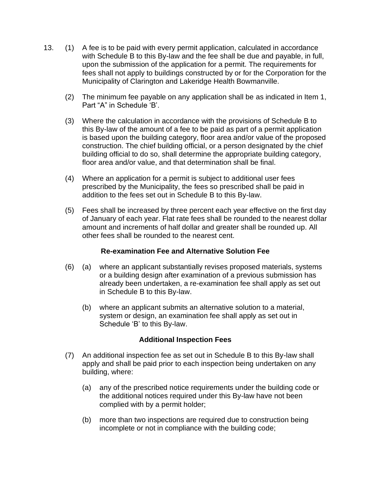- 13. (1) A fee is to be paid with every permit application, calculated in accordance with Schedule B to this By-law and the fee shall be due and payable, in full, upon the submission of the application for a permit. The requirements for fees shall not apply to buildings constructed by or for the Corporation for the Municipality of Clarington and Lakeridge Health Bowmanville.
	- (2) The minimum fee payable on any application shall be as indicated in Item 1, Part "A" in Schedule 'B'.
	- (3) Where the calculation in accordance with the provisions of Schedule B to this By-law of the amount of a fee to be paid as part of a permit application is based upon the building category, floor area and/or value of the proposed construction. The chief building official, or a person designated by the chief building official to do so, shall determine the appropriate building category, floor area and/or value, and that determination shall be final.
	- (4) Where an application for a permit is subject to additional user fees prescribed by the Municipality, the fees so prescribed shall be paid in addition to the fees set out in Schedule B to this By-law.
	- (5) Fees shall be increased by three percent each year effective on the first day of January of each year. Flat rate fees shall be rounded to the nearest dollar amount and increments of half dollar and greater shall be rounded up. All other fees shall be rounded to the nearest cent.

#### **Re-examination Fee and Alternative Solution Fee**

- (6) (a) where an applicant substantially revises proposed materials, systems or a building design after examination of a previous submission has already been undertaken, a re-examination fee shall apply as set out in Schedule B to this By-law.
	- (b) where an applicant submits an alternative solution to a material, system or design, an examination fee shall apply as set out in Schedule 'B' to this By-law.

## **Additional Inspection Fees**

- (7) An additional inspection fee as set out in Schedule B to this By-law shall apply and shall be paid prior to each inspection being undertaken on any building, where:
	- (a) any of the prescribed notice requirements under the building code or the additional notices required under this By-law have not been complied with by a permit holder;
	- (b) more than two inspections are required due to construction being incomplete or not in compliance with the building code;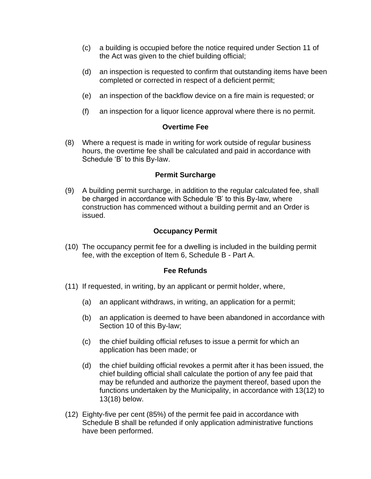- (c) a building is occupied before the notice required under Section 11 of the Act was given to the chief building official;
- (d) an inspection is requested to confirm that outstanding items have been completed or corrected in respect of a deficient permit;
- (e) an inspection of the backflow device on a fire main is requested; or
- (f) an inspection for a liquor licence approval where there is no permit.

#### **Overtime Fee**

(8) Where a request is made in writing for work outside of regular business hours, the overtime fee shall be calculated and paid in accordance with Schedule 'B' to this By-law.

#### **Permit Surcharge**

(9) A building permit surcharge, in addition to the regular calculated fee, shall be charged in accordance with Schedule 'B' to this By-law, where construction has commenced without a building permit and an Order is issued.

## **Occupancy Permit**

(10) The occupancy permit fee for a dwelling is included in the building permit fee, with the exception of Item 6, Schedule B - Part A.

#### **Fee Refunds**

- (11) If requested, in writing, by an applicant or permit holder, where,
	- (a) an applicant withdraws, in writing, an application for a permit;
	- (b) an application is deemed to have been abandoned in accordance with Section 10 of this By-law;
	- (c) the chief building official refuses to issue a permit for which an application has been made; or
	- (d) the chief building official revokes a permit after it has been issued, the chief building official shall calculate the portion of any fee paid that may be refunded and authorize the payment thereof, based upon the functions undertaken by the Municipality, in accordance with 13(12) to 13(18) below.
- (12) Eighty-five per cent (85%) of the permit fee paid in accordance with Schedule B shall be refunded if only application administrative functions have been performed.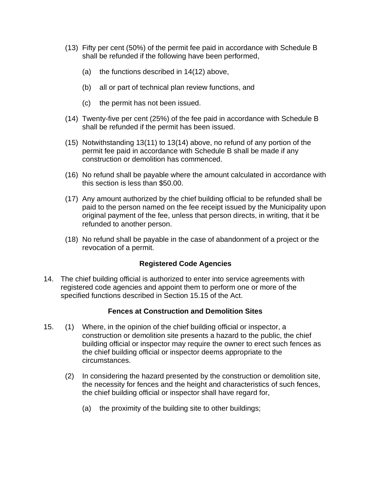- (13) Fifty per cent (50%) of the permit fee paid in accordance with Schedule B shall be refunded if the following have been performed,
	- (a) the functions described in 14(12) above,
	- (b) all or part of technical plan review functions, and
	- (c) the permit has not been issued.
- (14) Twenty-five per cent (25%) of the fee paid in accordance with Schedule B shall be refunded if the permit has been issued.
- (15) Notwithstanding 13(11) to 13(14) above, no refund of any portion of the permit fee paid in accordance with Schedule B shall be made if any construction or demolition has commenced.
- (16) No refund shall be payable where the amount calculated in accordance with this section is less than \$50.00.
- (17) Any amount authorized by the chief building official to be refunded shall be paid to the person named on the fee receipt issued by the Municipality upon original payment of the fee, unless that person directs, in writing, that it be refunded to another person.
- (18) No refund shall be payable in the case of abandonment of a project or the revocation of a permit.

## **Registered Code Agencies**

14. The chief building official is authorized to enter into service agreements with registered code agencies and appoint them to perform one or more of the specified functions described in Section 15.15 of the Act.

#### **Fences at Construction and Demolition Sites**

- 15. (1) Where, in the opinion of the chief building official or inspector, a construction or demolition site presents a hazard to the public, the chief building official or inspector may require the owner to erect such fences as the chief building official or inspector deems appropriate to the circumstances.
	- (2) In considering the hazard presented by the construction or demolition site, the necessity for fences and the height and characteristics of such fences, the chief building official or inspector shall have regard for,
		- (a) the proximity of the building site to other buildings;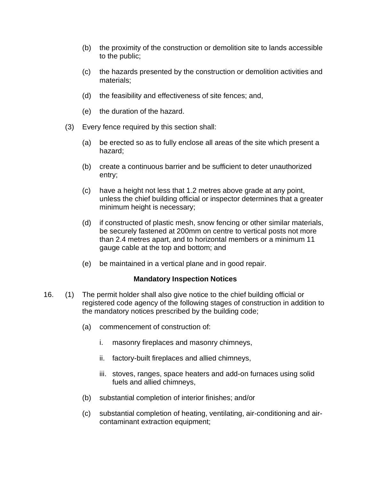- (b) the proximity of the construction or demolition site to lands accessible to the public;
- (c) the hazards presented by the construction or demolition activities and materials;
- (d) the feasibility and effectiveness of site fences; and,
- (e) the duration of the hazard.
- (3) Every fence required by this section shall:
	- (a) be erected so as to fully enclose all areas of the site which present a hazard;
	- (b) create a continuous barrier and be sufficient to deter unauthorized entry;
	- (c) have a height not less that 1.2 metres above grade at any point, unless the chief building official or inspector determines that a greater minimum height is necessary;
	- (d) if constructed of plastic mesh, snow fencing or other similar materials, be securely fastened at 200mm on centre to vertical posts not more than 2.4 metres apart, and to horizontal members or a minimum 11 gauge cable at the top and bottom; and
	- (e) be maintained in a vertical plane and in good repair.

#### **Mandatory Inspection Notices**

- 16. (1) The permit holder shall also give notice to the chief building official or registered code agency of the following stages of construction in addition to the mandatory notices prescribed by the building code;
	- (a) commencement of construction of:
		- i. masonry fireplaces and masonry chimneys,
		- ii. factory-built fireplaces and allied chimneys,
		- iii. stoves, ranges, space heaters and add-on furnaces using solid fuels and allied chimneys,
	- (b) substantial completion of interior finishes; and/or
	- (c) substantial completion of heating, ventilating, air-conditioning and aircontaminant extraction equipment;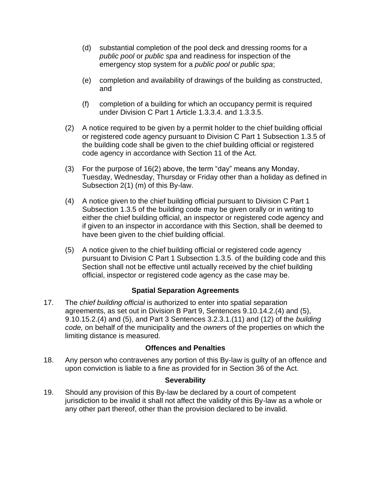- (d) substantial completion of the pool deck and dressing rooms for a *public pool* or *public spa* and readiness for inspection of the emergency stop system for a *public pool* or *public spa*;
- (e) completion and availability of drawings of the building as constructed, and
- (f) completion of a building for which an occupancy permit is required under Division C Part 1 Article 1.3.3.4. and 1.3.3.5.
- (2) A notice required to be given by a permit holder to the chief building official or registered code agency pursuant to Division C Part 1 Subsection 1.3.5 of the building code shall be given to the chief building official or registered code agency in accordance with Section 11 of the Act.
- (3) For the purpose of 16(2) above, the term "day" means any Monday, Tuesday, Wednesday, Thursday or Friday other than a holiday as defined in Subsection 2(1) (m) of this By-law.
- (4) A notice given to the chief building official pursuant to Division C Part 1 Subsection 1.3.5 of the building code may be given orally or in writing to either the chief building official, an inspector or registered code agency and if given to an inspector in accordance with this Section, shall be deemed to have been given to the chief building official.
- (5) A notice given to the chief building official or registered code agency pursuant to Division C Part 1 Subsection 1.3.5. of the building code and this Section shall not be effective until actually received by the chief building official, inspector or registered code agency as the case may be.

## **Spatial Separation Agreements**

17. The *chief building official* is authorized to enter into spatial separation agreements, as set out in Division B Part 9, Sentences 9.10.14.2.(4) and (5), 9.10.15.2.(4) and (5), and Part 3 Sentences 3.2.3.1.(11) and (12) of the *building code,* on behalf of the municipality and the *owner*s of the properties on which the limiting distance is measured.

#### **Offences and Penalties**

18. Any person who contravenes any portion of this By-law is guilty of an offence and upon conviction is liable to a fine as provided for in Section 36 of the Act.

## **Severability**

19. Should any provision of this By-law be declared by a court of competent jurisdiction to be invalid it shall not affect the validity of this By-law as a whole or any other part thereof, other than the provision declared to be invalid.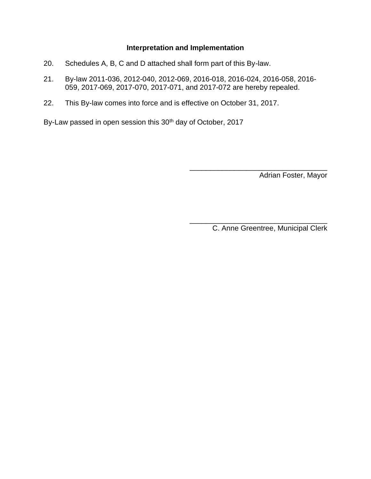## **Interpretation and Implementation**

- 20. Schedules A, B, C and D attached shall form part of this By-law.
- 21. By-law 2011-036, 2012-040, 2012-069, 2016-018, 2016-024, 2016-058, 2016- 059, 2017-069, 2017-070, 2017-071, and 2017-072 are hereby repealed.
- 22. This By-law comes into force and is effective on October 31, 2017.

By-Law passed in open session this 30<sup>th</sup> day of October, 2017

Adrian Foster, Mayor

C. Anne Greentree, Municipal Clerk

\_\_\_\_\_\_\_\_\_\_\_\_\_\_\_\_\_\_\_\_\_\_\_\_\_\_\_\_\_\_\_\_\_\_

\_\_\_\_\_\_\_\_\_\_\_\_\_\_\_\_\_\_\_\_\_\_\_\_\_\_\_\_\_\_\_\_\_\_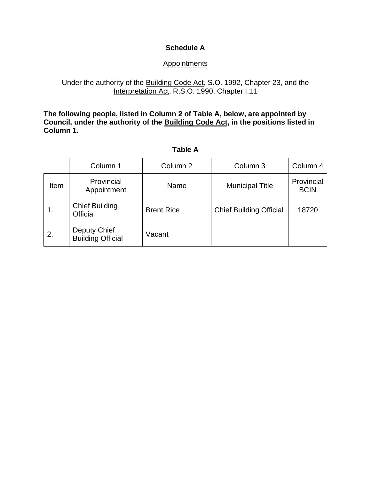## **Schedule A**

## **Appointments**

## Under the authority of the Building Code Act, S.O. 1992, Chapter 23, and the Interpretation Act, R.S.O. 1990, Chapter I.11

**The following people, listed in Column 2 of Table A, below, are appointed by Council, under the authority of the Building Code Act, in the positions listed in Column 1.** 

| abl<br>е |
|----------|
|----------|

|      | Column 1                                 | Column 2          | Column 3                       | Column 4                  |
|------|------------------------------------------|-------------------|--------------------------------|---------------------------|
| Item | Provincial<br>Appointment                | Name              | <b>Municipal Title</b>         | Provincial<br><b>BCIN</b> |
| 1.   | <b>Chief Building</b><br><b>Official</b> | <b>Brent Rice</b> | <b>Chief Building Official</b> | 18720                     |
| 2.   | Deputy Chief<br><b>Building Official</b> | Vacant            |                                |                           |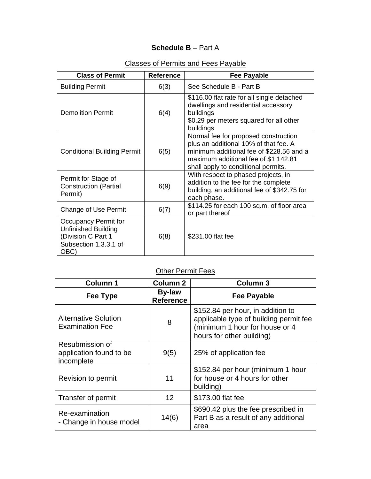## **Schedule B** – Part A

| <b>Class of Permit</b>                                                                                    | <b>Reference</b> | <b>Fee Payable</b>                                                                                                                                                                                       |
|-----------------------------------------------------------------------------------------------------------|------------------|----------------------------------------------------------------------------------------------------------------------------------------------------------------------------------------------------------|
| <b>Building Permit</b>                                                                                    | 6(3)             | See Schedule B - Part B                                                                                                                                                                                  |
| Demolition Permit                                                                                         | 6(4)             | \$116.00 flat rate for all single detached<br>dwellings and residential accessory<br>buildings<br>\$0.29 per meters squared for all other<br>buildings                                                   |
| <b>Conditional Building Permit</b>                                                                        | 6(5)             | Normal fee for proposed construction<br>plus an additional 10% of that fee. A<br>minimum additional fee of \$228.56 and a<br>maximum additional fee of \$1,142.81<br>shall apply to conditional permits. |
| Permit for Stage of<br><b>Construction (Partial</b><br>Permit)                                            | 6(9)             | With respect to phased projects, in<br>addition to the fee for the complete<br>building, an additional fee of \$342.75 for<br>each phase.                                                                |
| Change of Use Permit                                                                                      | 6(7)             | \$114.25 for each 100 sq.m. of floor area<br>or part thereof                                                                                                                                             |
| Occupancy Permit for<br><b>Unfinished Building</b><br>(Division C Part 1<br>Subsection 1.3.3.1 of<br>OBC) | 6(8)             | \$231.00 flat fee                                                                                                                                                                                        |

## Classes of Permits and Fees Payable

# **Other Permit Fees**

| <b>Column 1</b>                                          | <b>Column 2</b>                   | <b>Column 3</b>                                                                                                                            |
|----------------------------------------------------------|-----------------------------------|--------------------------------------------------------------------------------------------------------------------------------------------|
| Fee Type                                                 | <b>By-law</b><br><b>Reference</b> | <b>Fee Payable</b>                                                                                                                         |
| <b>Alternative Solution</b><br><b>Examination Fee</b>    | 8                                 | \$152.84 per hour, in addition to<br>applicable type of building permit fee<br>(minimum 1 hour for house or 4<br>hours for other building) |
| Resubmission of<br>application found to be<br>incomplete | 9(5)                              | 25% of application fee                                                                                                                     |
| Revision to permit                                       | 11                                | \$152.84 per hour (minimum 1 hour<br>for house or 4 hours for other<br>building)                                                           |
| Transfer of permit                                       | 12                                | \$173.00 flat fee                                                                                                                          |
| Re-examination<br>- Change in house model                | 14(6)                             | \$690.42 plus the fee prescribed in<br>Part B as a result of any additional<br>area                                                        |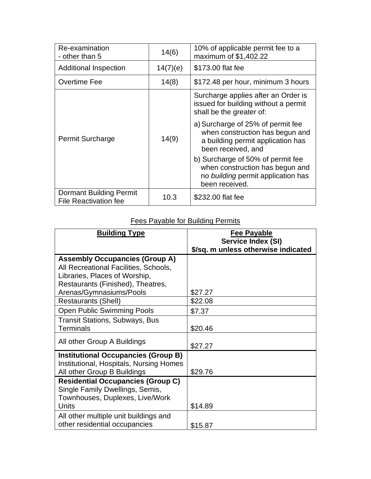| Re-examination<br>- other than 5                               | 14(6)    | 10% of applicable permit fee to a<br>maximum of \$1,402.22                                                                      |
|----------------------------------------------------------------|----------|---------------------------------------------------------------------------------------------------------------------------------|
| <b>Additional Inspection</b>                                   | 14(7)(e) | \$173.00 flat fee                                                                                                               |
| Overtime Fee                                                   | 14(8)    | \$172.48 per hour, minimum 3 hours                                                                                              |
| <b>Permit Surcharge</b>                                        | 14(9)    | Surcharge applies after an Order is<br>issued for building without a permit<br>shall be the greater of:                         |
|                                                                |          | a) Surcharge of 25% of permit fee<br>when construction has begun and<br>a building permit application has<br>been received, and |
|                                                                |          | b) Surcharge of 50% of permit fee<br>when construction has begun and<br>no building permit application has<br>been received.    |
| <b>Dormant Building Permit</b><br><b>File Reactivation fee</b> | 10.3     | \$232.00 flat fee                                                                                                               |

# Fees Payable for Building Permits

| <b>Building Type</b>                                               | <b>Fee Payable</b>                                               |
|--------------------------------------------------------------------|------------------------------------------------------------------|
|                                                                    | <b>Service Index (SI)</b><br>\$/sq. m unless otherwise indicated |
| <b>Assembly Occupancies (Group A)</b>                              |                                                                  |
| All Recreational Facilities, Schools,                              |                                                                  |
| Libraries, Places of Worship,<br>Restaurants (Finished), Theatres, |                                                                  |
| Arenas/Gymnasiums/Pools                                            | \$27.27                                                          |
| <b>Restaurants (Shell)</b>                                         | \$22.08                                                          |
| <b>Open Public Swimming Pools</b>                                  | \$7.37                                                           |
| <b>Transit Stations, Subways, Bus</b>                              |                                                                  |
| <b>Terminals</b>                                                   | \$20.46                                                          |
| All other Group A Buildings                                        | \$27.27                                                          |
| <b>Institutional Occupancies (Group B)</b>                         |                                                                  |
| Institutional, Hospitals, Nursing Homes                            |                                                                  |
| All other Group B Buildings                                        | \$29.76                                                          |
| <b>Residential Occupancies (Group C)</b>                           |                                                                  |
| Single Family Dwellings, Semis,<br>Townhouses, Duplexes, Live/Work |                                                                  |
| Units                                                              | \$14.89                                                          |
| All other multiple unit buildings and                              |                                                                  |
| other residential occupancies                                      | \$15.87                                                          |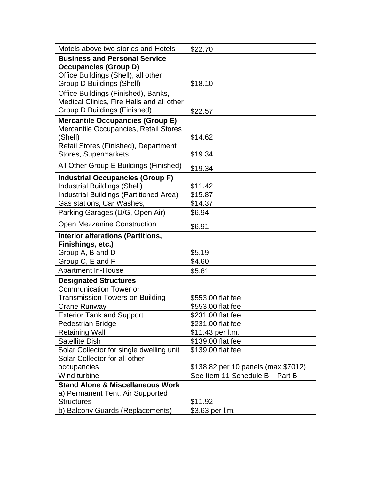| Motels above two stories and Hotels                   | \$22.70                             |
|-------------------------------------------------------|-------------------------------------|
| <b>Business and Personal Service</b>                  |                                     |
| <b>Occupancies (Group D)</b>                          |                                     |
| Office Buildings (Shell), all other                   |                                     |
| Group D Buildings (Shell)                             | \$18.10                             |
| Office Buildings (Finished), Banks,                   |                                     |
| Medical Clinics, Fire Halls and all other             |                                     |
| Group D Buildings (Finished)                          | \$22.57                             |
| <b>Mercantile Occupancies (Group E)</b>               |                                     |
| Mercantile Occupancies, Retail Stores                 |                                     |
| (Shell)                                               | \$14.62                             |
| Retail Stores (Finished), Department                  |                                     |
| <b>Stores, Supermarkets</b>                           | \$19.34                             |
| All Other Group E Buildings (Finished)                | \$19.34                             |
| <b>Industrial Occupancies (Group F)</b>               |                                     |
| <b>Industrial Buildings (Shell)</b>                   | \$11.42                             |
| <b>Industrial Buildings (Partitioned Area)</b>        | \$15.87                             |
| Gas stations, Car Washes,                             | \$14.37                             |
| Parking Garages (U/G, Open Air)                       | \$6.94                              |
| <b>Open Mezzanine Construction</b>                    | \$6.91                              |
|                                                       |                                     |
| <b>Interior alterations (Partitions,</b>              |                                     |
| Finishings, etc.)                                     |                                     |
| Group A, B and D                                      | \$5.19                              |
| Group C, E and F                                      | \$4.60                              |
| Apartment In-House                                    | \$5.61                              |
| <b>Designated Structures</b>                          |                                     |
| <b>Communication Tower or</b>                         |                                     |
| <b>Transmission Towers on Building</b>                | \$553.00 flat fee                   |
| Crane Runway                                          | \$553.00 flat fee                   |
| <b>Exterior Tank and Support</b>                      | \$231.00 flat fee                   |
| Pedestrian Bridge                                     | \$231.00 flat fee                   |
| <b>Retaining Wall</b>                                 | \$11.43 per l.m.                    |
| <b>Satellite Dish</b>                                 | \$139.00 flat fee                   |
| Solar Collector for single dwelling unit              | \$139.00 flat fee                   |
| Solar Collector for all other                         |                                     |
| occupancies                                           | \$138.82 per 10 panels (max \$7012) |
| Wind turbine                                          | See Item 11 Schedule B - Part B     |
| <b>Stand Alone &amp; Miscellaneous Work</b>           |                                     |
| a) Permanent Tent, Air Supported                      |                                     |
| <b>Structures</b><br>b) Balcony Guards (Replacements) | \$11.92<br>\$3.63 per l.m.          |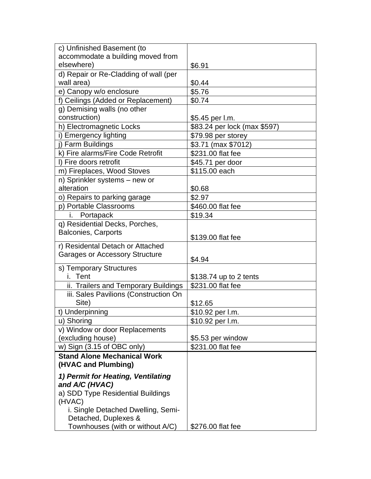| c) Unfinished Basement (to            |                              |
|---------------------------------------|------------------------------|
| accommodate a building moved from     |                              |
| elsewhere)                            | \$6.91                       |
| d) Repair or Re-Cladding of wall (per |                              |
| wall area)                            | \$0.44                       |
| e) Canopy w/o enclosure               | \$5.76                       |
| f) Ceilings (Added or Replacement)    | \$0.74                       |
| g) Demising walls (no other           |                              |
| construction)                         | \$5.45 per l.m.              |
| h) Electromagnetic Locks              | \$83.24 per lock (max \$597) |
| i) Emergency lighting                 | \$79.98 per storey           |
| j) Farm Buildings                     | \$3.71 (max \$7012)          |
| k) Fire alarms/Fire Code Retrofit     | \$231.00 flat fee            |
| I) Fire doors retrofit                | \$45.71 per door             |
| m) Fireplaces, Wood Stoves            | \$115.00 each                |
| n) Sprinkler systems - new or         |                              |
| alteration                            | \$0.68                       |
| o) Repairs to parking garage          | \$2.97                       |
| p) Portable Classrooms                | \$460.00 flat fee            |
| i. Portapack                          | \$19.34                      |
| q) Residential Decks, Porches,        |                              |
| <b>Balconies, Carports</b>            |                              |
| r) Residental Detach or Attached      | \$139.00 flat fee            |
| <b>Garages or Accessory Structure</b> |                              |
|                                       | \$4.94                       |
| s) Temporary Structures               |                              |
| i. Tent                               | \$138.74 up to 2 tents       |
| ii. Trailers and Temporary Buildings  | \$231.00 flat fee            |
| iii. Sales Pavilions (Construction On |                              |
| Site)                                 | \$12.65                      |
| t) Underpinning                       | \$10.92 per l.m.             |
| u) Shoring                            | \$10.92 per l.m.             |
| v) Window or door Replacements        |                              |
| (excluding house)                     | \$5.53 per window            |
| w) Sign (3.15 of OBC only)            | \$231.00 flat fee            |
| <b>Stand Alone Mechanical Work</b>    |                              |
| (HVAC and Plumbing)                   |                              |
| 1) Permit for Heating, Ventilating    |                              |
| and A/C (HVAC)                        |                              |
| a) SDD Type Residential Buildings     |                              |
| (HVAC)                                |                              |
| i. Single Detached Dwelling, Semi-    |                              |
| Detached, Duplexes &                  |                              |
| Townhouses (with or without A/C)      | \$276.00 flat fee            |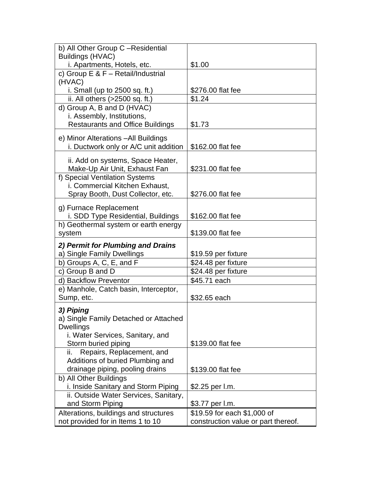| b) All Other Group C-Residential                                |                                     |
|-----------------------------------------------------------------|-------------------------------------|
| <b>Buildings (HVAC)</b>                                         |                                     |
| i. Apartments, Hotels, etc.                                     | \$1.00                              |
| c) Group $E$ & $F - Retail/Industrial$                          |                                     |
| (HVAC)                                                          |                                     |
| i. Small (up to $2500$ sq. ft.)                                 | \$276.00 flat fee                   |
| ii. All others (>2500 sq. ft.)                                  | \$1.24                              |
| d) Group A, B and D (HVAC)                                      |                                     |
| i. Assembly, Institutions,                                      |                                     |
| <b>Restaurants and Office Buildings</b>                         | \$1.73                              |
| e) Minor Alterations - All Buildings                            |                                     |
| i. Ductwork only or A/C unit addition                           | \$162.00 flat fee                   |
|                                                                 |                                     |
| ii. Add on systems, Space Heater,                               | \$231.00 flat fee                   |
| Make-Up Air Unit, Exhaust Fan<br>f) Special Ventilation Systems |                                     |
| i. Commercial Kitchen Exhaust,                                  |                                     |
| Spray Booth, Dust Collector, etc.                               | \$276.00 flat fee                   |
|                                                                 |                                     |
| g) Furnace Replacement                                          |                                     |
| i. SDD Type Residential, Buildings                              | \$162.00 flat fee                   |
| h) Geothermal system or earth energy                            |                                     |
| system                                                          | \$139.00 flat fee                   |
| 2) Permit for Plumbing and Drains                               |                                     |
| a) Single Family Dwellings                                      | \$19.59 per fixture                 |
| b) Groups A, C, E, and F                                        | \$24.48 per fixture                 |
| c) Group B and D                                                | \$24.48 per fixture                 |
| d) Backflow Preventor                                           | \$45.71 each                        |
| e) Manhole, Catch basin, Interceptor,                           |                                     |
| Sump, etc.                                                      | \$32.65 each                        |
| 3) Piping                                                       |                                     |
| a) Single Family Detached or Attached                           |                                     |
| <b>Dwellings</b>                                                |                                     |
| i. Water Services, Sanitary, and                                |                                     |
| Storm buried piping                                             | \$139.00 flat fee                   |
| Repairs, Replacement, and<br>ii.                                |                                     |
| Additions of buried Plumbing and                                |                                     |
| drainage piping, pooling drains                                 | \$139.00 flat fee                   |
| b) All Other Buildings                                          |                                     |
| i. Inside Sanitary and Storm Piping                             | \$2.25 per l.m.                     |
| ii. Outside Water Services, Sanitary,                           |                                     |
| and Storm Piping                                                | \$3.77 per l.m.                     |
| Alterations, buildings and structures                           | \$19.59 for each \$1,000 of         |
| not provided for in Items 1 to 10                               | construction value or part thereof. |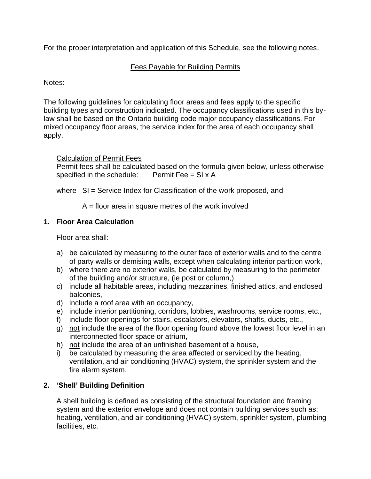For the proper interpretation and application of this Schedule, see the following notes.

## Fees Payable for Building Permits

Notes:

The following guidelines for calculating floor areas and fees apply to the specific building types and construction indicated. The occupancy classifications used in this bylaw shall be based on the Ontario building code major occupancy classifications. For mixed occupancy floor areas, the service index for the area of each occupancy shall apply.

Calculation of Permit Fees

Permit fees shall be calculated based on the formula given below, unless otherwise specified in the schedule: Permit Fee =  $SI \times A$ 

where SI = Service Index for Classification of the work proposed, and

 $A =$  floor area in square metres of the work involved

## **1. Floor Area Calculation**

Floor area shall:

- a) be calculated by measuring to the outer face of exterior walls and to the centre of party walls or demising walls, except when calculating interior partition work,
- b) where there are no exterior walls, be calculated by measuring to the perimeter of the building and/or structure, (ie post or column,)
- c) include all habitable areas, including mezzanines, finished attics, and enclosed balconies,
- d) include a roof area with an occupancy,
- e) include interior partitioning, corridors, lobbies, washrooms, service rooms, etc.,
- f) include floor openings for stairs, escalators, elevators, shafts, ducts, etc.,
- g) not include the area of the floor opening found above the lowest floor level in an interconnected floor space or atrium,
- h) not include the area of an unfinished basement of a house,
- i) be calculated by measuring the area affected or serviced by the heating, ventilation, and air conditioning (HVAC) system, the sprinkler system and the fire alarm system.

## **2. 'Shell' Building Definition**

A shell building is defined as consisting of the structural foundation and framing system and the exterior envelope and does not contain building services such as: heating, ventilation, and air conditioning (HVAC) system, sprinkler system, plumbing facilities, etc.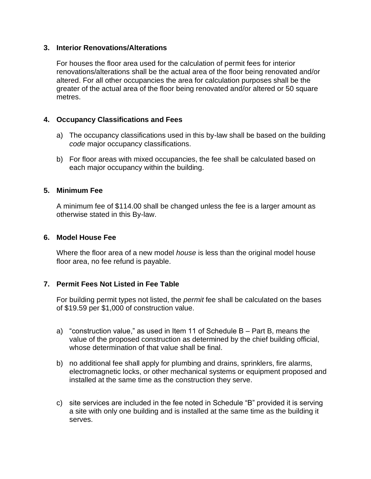#### **3. Interior Renovations/Alterations**

For houses the floor area used for the calculation of permit fees for interior renovations/alterations shall be the actual area of the floor being renovated and/or altered. For all other occupancies the area for calculation purposes shall be the greater of the actual area of the floor being renovated and/or altered or 50 square metres.

#### **4. Occupancy Classifications and Fees**

- a) The occupancy classifications used in this by-law shall be based on the building *code* major occupancy classifications.
- b) For floor areas with mixed occupancies, the fee shall be calculated based on each major occupancy within the building.

#### **5. Minimum Fee**

A minimum fee of \$114.00 shall be changed unless the fee is a larger amount as otherwise stated in this By-law.

#### **6. Model House Fee**

Where the floor area of a new model *house* is less than the original model house floor area, no fee refund is payable.

#### **7. Permit Fees Not Listed in Fee Table**

For building permit types not listed, the *permit* fee shall be calculated on the bases of \$19.59 per \$1,000 of construction value.

- a) "construction value," as used in Item 11 of Schedule B Part B, means the value of the proposed construction as determined by the chief building official, whose determination of that value shall be final.
- b) no additional fee shall apply for plumbing and drains, sprinklers, fire alarms, electromagnetic locks, or other mechanical systems or equipment proposed and installed at the same time as the construction they serve.
- c) site services are included in the fee noted in Schedule "B" provided it is serving a site with only one building and is installed at the same time as the building it serves.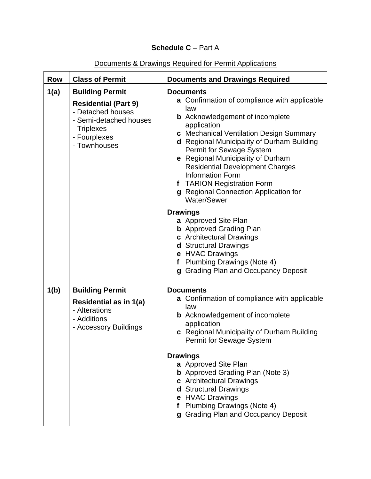## **Schedule C** – Part A

## Documents & Drawings Required for Permit Applications

| <b>Row</b> | <b>Class of Permit</b>                                                                                                                              | <b>Documents and Drawings Required</b>                                                                                                                                                                                                                                                                                                                                                                                                                         |  |
|------------|-----------------------------------------------------------------------------------------------------------------------------------------------------|----------------------------------------------------------------------------------------------------------------------------------------------------------------------------------------------------------------------------------------------------------------------------------------------------------------------------------------------------------------------------------------------------------------------------------------------------------------|--|
| 1(a)       | <b>Building Permit</b><br><b>Residential (Part 9)</b><br>- Detached houses<br>- Semi-detached houses<br>- Triplexes<br>- Fourplexes<br>- Townhouses | <b>Documents</b><br>a Confirmation of compliance with applicable<br>law<br><b>b</b> Acknowledgement of incomplete<br>application<br>c Mechanical Ventilation Design Summary<br><b>d</b> Regional Municipality of Durham Building<br>Permit for Sewage System<br>e Regional Municipality of Durham<br><b>Residential Development Charges</b><br><b>Information Form</b><br>f TARION Registration Form<br>g Regional Connection Application for<br>Water/Sewer   |  |
|            |                                                                                                                                                     | <b>Drawings</b><br>a Approved Site Plan<br><b>b</b> Approved Grading Plan<br>c Architectural Drawings<br>d Structural Drawings<br>e HVAC Drawings<br><b>Plumbing Drawings (Note 4)</b><br>f<br>g Grading Plan and Occupancy Deposit                                                                                                                                                                                                                            |  |
| 1(b)       | <b>Building Permit</b><br>Residential as in 1(a)<br>- Alterations<br>- Additions<br>- Accessory Buildings                                           | <b>Documents</b><br><b>a</b> Confirmation of compliance with applicable<br>law<br><b>b</b> Acknowledgement of incomplete<br>application<br>c Regional Municipality of Durham Building<br>Permit for Sewage System<br><b>Drawings</b><br>a Approved Site Plan<br><b>b</b> Approved Grading Plan (Note 3)<br>c Architectural Drawings<br><b>d</b> Structural Drawings<br>e HVAC Drawings<br>f Plumbing Drawings (Note 4)<br>g Grading Plan and Occupancy Deposit |  |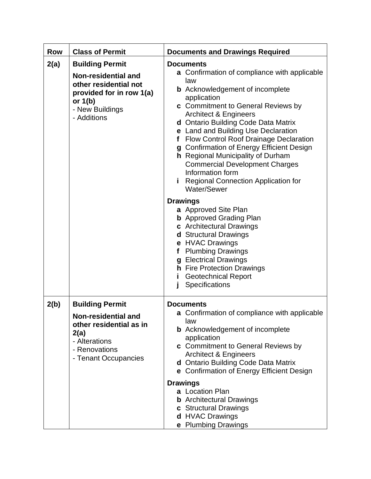| <b>Row</b> | <b>Class of Permit</b>                                                                                                                            | <b>Documents and Drawings Required</b>                                                                                                                                                                                                                                                                                                                                                                                                                                                                                                                                   |
|------------|---------------------------------------------------------------------------------------------------------------------------------------------------|--------------------------------------------------------------------------------------------------------------------------------------------------------------------------------------------------------------------------------------------------------------------------------------------------------------------------------------------------------------------------------------------------------------------------------------------------------------------------------------------------------------------------------------------------------------------------|
| 2(a)       | <b>Building Permit</b><br>Non-residential and<br>other residential not<br>provided for in row 1(a)<br>or $1(b)$<br>- New Buildings<br>- Additions | <b>Documents</b><br><b>a</b> Confirmation of compliance with applicable<br>law<br><b>b</b> Acknowledgement of incomplete<br>application<br>c Commitment to General Reviews by<br><b>Architect &amp; Engineers</b><br>d Ontario Building Code Data Matrix<br>e Land and Building Use Declaration<br><b>Flow Control Roof Drainage Declaration</b><br>f<br>g Confirmation of Energy Efficient Design<br><b>h</b> Regional Municipality of Durham<br><b>Commercial Development Charges</b><br>Information form<br><b>Regional Connection Application for</b><br>Water/Sewer |
|            |                                                                                                                                                   | <b>Drawings</b><br>a Approved Site Plan<br><b>b</b> Approved Grading Plan<br>c Architectural Drawings<br>d Structural Drawings<br>e HVAC Drawings<br><b>Plumbing Drawings</b><br>f<br>g Electrical Drawings<br><b>h</b> Fire Protection Drawings<br><b>Geotechnical Report</b><br>i.<br>Specifications                                                                                                                                                                                                                                                                   |
| 2(b)       | <b>Building Permit</b><br><b>Non-residential and</b><br>other residential as in<br>2(a)<br>- Alterations<br>- Renovations<br>- Tenant Occupancies | <b>Documents</b><br>a Confirmation of compliance with applicable<br>law<br><b>b</b> Acknowledgement of incomplete<br>application<br>c Commitment to General Reviews by<br><b>Architect &amp; Engineers</b><br>d Ontario Building Code Data Matrix<br>e Confirmation of Energy Efficient Design<br><b>Drawings</b><br>a Location Plan<br><b>b</b> Architectural Drawings<br>c Structural Drawings<br>d HVAC Drawings<br>e Plumbing Drawings                                                                                                                               |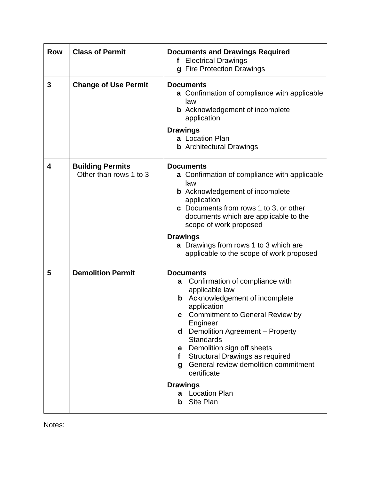| <b>Row</b> | <b>Class of Permit</b>                              | <b>Documents and Drawings Required</b>                                                                                                                                                                                                                                                                                                                                                                                                                               |
|------------|-----------------------------------------------------|----------------------------------------------------------------------------------------------------------------------------------------------------------------------------------------------------------------------------------------------------------------------------------------------------------------------------------------------------------------------------------------------------------------------------------------------------------------------|
|            |                                                     | f Electrical Drawings<br>g Fire Protection Drawings                                                                                                                                                                                                                                                                                                                                                                                                                  |
| 3          | <b>Change of Use Permit</b>                         | <b>Documents</b><br>a Confirmation of compliance with applicable<br>law<br><b>b</b> Acknowledgement of incomplete<br>application<br><b>Drawings</b><br>a Location Plan<br><b>b</b> Architectural Drawings                                                                                                                                                                                                                                                            |
| 4          | <b>Building Permits</b><br>- Other than rows 1 to 3 | <b>Documents</b><br>a Confirmation of compliance with applicable<br>law<br><b>b</b> Acknowledgement of incomplete<br>application<br><b>c</b> Documents from rows 1 to 3, or other<br>documents which are applicable to the<br>scope of work proposed<br><b>Drawings</b><br><b>a</b> Drawings from rows 1 to 3 which are<br>applicable to the scope of work proposed                                                                                                  |
| 5          | <b>Demolition Permit</b>                            | <b>Documents</b><br>Confirmation of compliance with<br>a<br>applicable law<br>Acknowledgement of incomplete<br>$\mathbf b$<br>application<br><b>Commitment to General Review by</b><br>Engineer<br>Demolition Agreement - Property<br>d<br><b>Standards</b><br>Demolition sign off sheets<br>е<br>Structural Drawings as required<br>f<br>General review demolition commitment<br>g<br>certificate<br><b>Drawings</b><br><b>Location Plan</b><br>a<br>Site Plan<br>b |

Notes: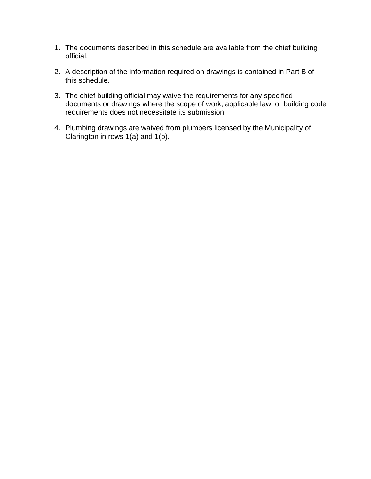- 1. The documents described in this schedule are available from the chief building official.
- 2. A description of the information required on drawings is contained in Part B of this schedule.
- 3. The chief building official may waive the requirements for any specified documents or drawings where the scope of work, applicable law, or building code requirements does not necessitate its submission.
- 4. Plumbing drawings are waived from plumbers licensed by the Municipality of Clarington in rows 1(a) and 1(b).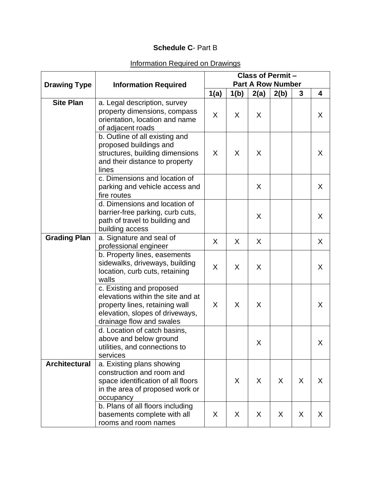## **Schedule C**- Part B

## Information Required on Drawings

|                      |                                                                                                                                                                | <b>Class of Permit -</b> |      |      |      |   |   |  |
|----------------------|----------------------------------------------------------------------------------------------------------------------------------------------------------------|--------------------------|------|------|------|---|---|--|
| <b>Drawing Type</b>  | <b>Information Required</b>                                                                                                                                    | <b>Part A Row Number</b> |      |      |      |   |   |  |
|                      |                                                                                                                                                                | 1(a)                     | 1(b) | 2(a) | 2(b) | 3 | 4 |  |
| <b>Site Plan</b>     | a. Legal description, survey<br>property dimensions, compass<br>orientation, location and name<br>of adjacent roads                                            | X                        | X    | X    |      |   | X |  |
|                      | b. Outline of all existing and<br>proposed buildings and<br>structures, building dimensions<br>and their distance to property<br>lines                         | X                        | X    | X    |      |   | X |  |
|                      | c. Dimensions and location of<br>parking and vehicle access and<br>fire routes                                                                                 |                          |      | X    |      |   | X |  |
|                      | d. Dimensions and location of<br>barrier-free parking, curb cuts,<br>path of travel to building and<br>building access                                         |                          |      | X    |      |   | X |  |
| <b>Grading Plan</b>  | a. Signature and seal of<br>professional engineer                                                                                                              | X                        | X    | X    |      |   | X |  |
|                      | b. Property lines, easements<br>sidewalks, driveways, building<br>location, curb cuts, retaining<br>walls                                                      | X                        | X    | X    |      |   | X |  |
|                      | c. Existing and proposed<br>elevations within the site and at<br>property lines, retaining wall<br>elevation, slopes of driveways,<br>drainage flow and swales | X                        | X    | X    |      |   | X |  |
|                      | d. Location of catch basins,<br>above and below ground<br>utilities, and connections to<br>services                                                            |                          |      | X    |      |   | X |  |
| <b>Architectural</b> | a. Existing plans showing<br>construction and room and<br>space identification of all floors<br>in the area of proposed work or<br>occupancy                   |                          | X    | X    | X    | X | X |  |
|                      | b. Plans of all floors including<br>basements complete with all<br>rooms and room names                                                                        | X                        | X    | X.   | X    | X | X |  |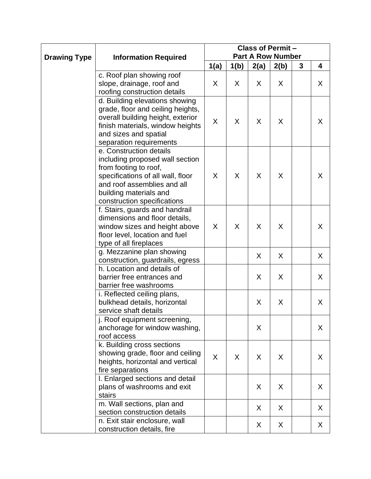|                     |                                                                                                                                                                                                                  | <b>Class of Permit -</b> |      |      |      |   |   |  |
|---------------------|------------------------------------------------------------------------------------------------------------------------------------------------------------------------------------------------------------------|--------------------------|------|------|------|---|---|--|
| <b>Drawing Type</b> | <b>Information Required</b>                                                                                                                                                                                      | <b>Part A Row Number</b> |      |      |      |   |   |  |
|                     |                                                                                                                                                                                                                  | 1(a)                     | 1(b) | 2(a) | 2(b) | 3 | 4 |  |
|                     | c. Roof plan showing roof<br>slope, drainage, roof and<br>roofing construction details                                                                                                                           | X                        | X    | X    | X    |   | X |  |
|                     | d. Building elevations showing<br>grade, floor and ceiling heights,<br>overall building height, exterior<br>finish materials, window heights<br>and sizes and spatial<br>separation requirements                 | X                        | X    | X    | X    |   | X |  |
|                     | e. Construction details<br>including proposed wall section<br>from footing to roof,<br>specifications of all wall, floor<br>and roof assemblies and all<br>building materials and<br>construction specifications | X                        | X    | X    | X    |   | X |  |
|                     | f. Stairs, guards and handrail<br>dimensions and floor details,<br>window sizes and height above<br>floor level, location and fuel<br>type of all fireplaces                                                     | X                        | X    | X    | X    |   | X |  |
|                     | g. Mezzanine plan showing<br>construction, guardrails, egress                                                                                                                                                    |                          |      | X    | X    |   | X |  |
|                     | h. Location and details of<br>barrier free entrances and<br>barrier free washrooms                                                                                                                               |                          |      | X    | X    |   | X |  |
|                     | i. Reflected ceiling plans,<br>bulkhead details, horizontal<br>service shaft details                                                                                                                             |                          |      | X    | X    |   | X |  |
|                     | j. Roof equipment screening,<br>anchorage for window washing,<br>roof access                                                                                                                                     |                          |      | X    |      |   | X |  |
|                     | k. Building cross sections<br>showing grade, floor and ceiling<br>heights, horizontal and vertical<br>fire separations                                                                                           | X                        | X    | X    | X    |   | X |  |
|                     | I. Enlarged sections and detail<br>plans of washrooms and exit<br>stairs                                                                                                                                         |                          |      | X    | X    |   | X |  |
|                     | m. Wall sections, plan and<br>section construction details                                                                                                                                                       |                          |      | X    | X    |   | X |  |
|                     | n. Exit stair enclosure, wall<br>construction details, fire                                                                                                                                                      |                          |      | X    | X    |   | X |  |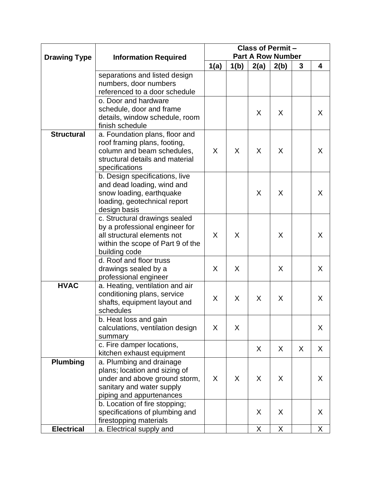|                     |                                                                | <b>Class of Permit -</b> |      |      |      |   |   |  |
|---------------------|----------------------------------------------------------------|--------------------------|------|------|------|---|---|--|
| <b>Drawing Type</b> | <b>Information Required</b>                                    | <b>Part A Row Number</b> |      |      |      |   |   |  |
|                     |                                                                | 1(a)                     | 1(b) | 2(a) | 2(b) | 3 | 4 |  |
|                     | separations and listed design                                  |                          |      |      |      |   |   |  |
|                     | numbers, door numbers                                          |                          |      |      |      |   |   |  |
|                     | referenced to a door schedule                                  |                          |      |      |      |   |   |  |
|                     | o. Door and hardware                                           |                          |      |      |      |   |   |  |
|                     | schedule, door and frame                                       |                          |      | X    | X    |   | X |  |
|                     | details, window schedule, room                                 |                          |      |      |      |   |   |  |
|                     | finish schedule                                                |                          |      |      |      |   |   |  |
| <b>Structural</b>   | a. Foundation plans, floor and<br>roof framing plans, footing, |                          |      |      |      |   |   |  |
|                     | column and beam schedules,                                     | X                        | X    | X    | X    |   | X |  |
|                     | structural details and material                                |                          |      |      |      |   |   |  |
|                     | specifications                                                 |                          |      |      |      |   |   |  |
|                     | b. Design specifications, live                                 |                          |      |      |      |   |   |  |
|                     | and dead loading, wind and                                     |                          |      |      |      |   |   |  |
|                     | snow loading, earthquake                                       |                          |      | X    | X    |   | X |  |
|                     | loading, geotechnical report                                   |                          |      |      |      |   |   |  |
|                     | design basis                                                   |                          |      |      |      |   |   |  |
|                     | c. Structural drawings sealed                                  |                          |      |      |      |   |   |  |
|                     | by a professional engineer for                                 |                          |      |      |      |   |   |  |
|                     | all structural elements not                                    | X                        | X    |      | X    |   | X |  |
|                     | within the scope of Part 9 of the                              |                          |      |      |      |   |   |  |
|                     | building code<br>d. Roof and floor truss                       |                          |      |      |      |   |   |  |
|                     | drawings sealed by a                                           | X                        | X    |      | X    |   | X |  |
|                     | professional engineer                                          |                          |      |      |      |   |   |  |
| <b>HVAC</b>         | a. Heating, ventilation and air                                |                          |      |      |      |   |   |  |
|                     | conditioning plans, service                                    |                          |      |      |      |   |   |  |
|                     | shafts, equipment layout and                                   | X                        | X    | X    | X    |   | X |  |
|                     | schedules                                                      |                          |      |      |      |   |   |  |
|                     | b. Heat loss and gain                                          |                          |      |      |      |   |   |  |
|                     | calculations, ventilation design                               | X                        | X    |      |      |   | X |  |
|                     | summary                                                        |                          |      |      |      |   |   |  |
|                     | c. Fire damper locations,                                      |                          |      | X    | X    | X | X |  |
|                     | kitchen exhaust equipment                                      |                          |      |      |      |   |   |  |
| <b>Plumbing</b>     | a. Plumbing and drainage                                       |                          |      |      |      |   |   |  |
|                     | plans; location and sizing of                                  | X                        | X    | X    | X    |   |   |  |
|                     | under and above ground storm,<br>sanitary and water supply     |                          |      |      |      |   | X |  |
|                     | piping and appurtenances                                       |                          |      |      |      |   |   |  |
|                     | b. Location of fire stopping;                                  |                          |      |      |      |   |   |  |
|                     | specifications of plumbing and                                 |                          |      | X    | X    |   | X |  |
|                     | firestopping materials                                         |                          |      |      |      |   |   |  |
| <b>Electrical</b>   | a. Electrical supply and                                       |                          |      | X    | X    |   | X |  |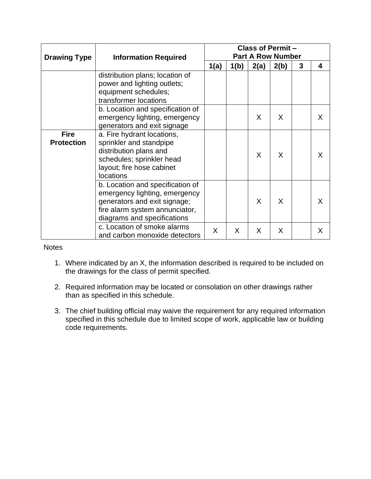|                     |                                                              | <b>Class of Permit -</b> |      |    |   |  |   |  |
|---------------------|--------------------------------------------------------------|--------------------------|------|----|---|--|---|--|
| <b>Drawing Type</b> | <b>Information Required</b>                                  | <b>Part A Row Number</b> |      |    |   |  |   |  |
|                     |                                                              | 1(a)<br>1(b)<br>2(a)     | 2(b) | 3  | 4 |  |   |  |
|                     | distribution plans; location of                              |                          |      |    |   |  |   |  |
|                     | power and lighting outlets;                                  |                          |      |    |   |  |   |  |
|                     | equipment schedules;                                         |                          |      |    |   |  |   |  |
|                     | transformer locations                                        |                          |      |    |   |  |   |  |
|                     | b. Location and specification of                             |                          |      |    |   |  |   |  |
|                     | emergency lighting, emergency                                |                          |      | X. | X |  | X |  |
|                     | generators and exit signage                                  |                          |      |    |   |  |   |  |
| <b>Fire</b>         | a. Fire hydrant locations,                                   |                          |      |    | X |  |   |  |
| <b>Protection</b>   | sprinkler and standpipe                                      |                          |      | X  |   |  | X |  |
|                     | distribution plans and                                       |                          |      |    |   |  |   |  |
|                     | schedules; sprinkler head                                    |                          |      |    |   |  |   |  |
|                     | layout; fire hose cabinet                                    |                          |      |    |   |  |   |  |
|                     | locations                                                    |                          |      |    |   |  |   |  |
|                     | b. Location and specification of                             |                          |      |    |   |  |   |  |
|                     | emergency lighting, emergency                                |                          |      |    |   |  |   |  |
|                     | generators and exit signage;                                 |                          |      | X  | X |  | X |  |
|                     | fire alarm system annunciator,                               |                          |      |    |   |  |   |  |
|                     | diagrams and specifications                                  |                          |      |    |   |  |   |  |
|                     | c. Location of smoke alarms<br>and carbon monoxide detectors | X                        | X    | X  | X |  | X |  |

**Notes** 

- 1. Where indicated by an X, the information described is required to be included on the drawings for the class of permit specified.
- 2. Required information may be located or consolation on other drawings rather than as specified in this schedule.
- 3. The chief building official may waive the requirement for any required information specified in this schedule due to limited scope of work, applicable law or building code requirements.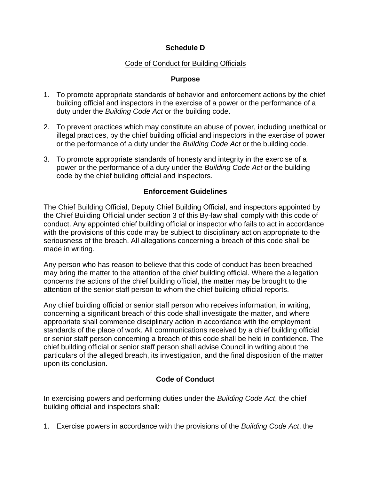## **Schedule D**

## Code of Conduct for Building Officials

#### **Purpose**

- 1. To promote appropriate standards of behavior and enforcement actions by the chief building official and inspectors in the exercise of a power or the performance of a duty under the *Building Code Act* or the building code.
- 2. To prevent practices which may constitute an abuse of power, including unethical or illegal practices, by the chief building official and inspectors in the exercise of power or the performance of a duty under the *Building Code Act* or the building code.
- 3. To promote appropriate standards of honesty and integrity in the exercise of a power or the performance of a duty under the *Building Code Act* or the building code by the chief building official and inspectors.

#### **Enforcement Guidelines**

The Chief Building Official, Deputy Chief Building Official, and inspectors appointed by the Chief Building Official under section 3 of this By-law shall comply with this code of conduct. Any appointed chief building official or inspector who fails to act in accordance with the provisions of this code may be subject to disciplinary action appropriate to the seriousness of the breach. All allegations concerning a breach of this code shall be made in writing.

Any person who has reason to believe that this code of conduct has been breached may bring the matter to the attention of the chief building official. Where the allegation concerns the actions of the chief building official, the matter may be brought to the attention of the senior staff person to whom the chief building official reports.

Any chief building official or senior staff person who receives information, in writing, concerning a significant breach of this code shall investigate the matter, and where appropriate shall commence disciplinary action in accordance with the employment standards of the place of work. All communications received by a chief building official or senior staff person concerning a breach of this code shall be held in confidence. The chief building official or senior staff person shall advise Council in writing about the particulars of the alleged breach, its investigation, and the final disposition of the matter upon its conclusion.

## **Code of Conduct**

In exercising powers and performing duties under the *Building Code Act*, the chief building official and inspectors shall:

1. Exercise powers in accordance with the provisions of the *Building Code Act*, the